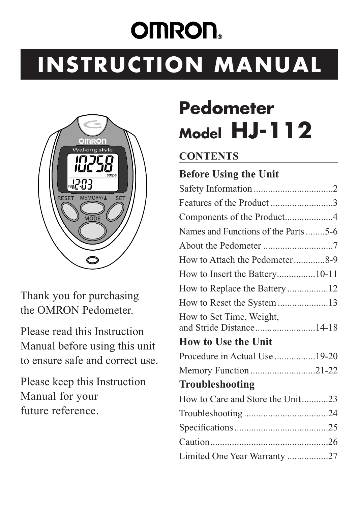# **OMRON INSTRUCTION MANUAL**



Thank you for purchasing the OMRON Pedometer.

Please read this Instruction Manual before using this unit to ensure safe and correct use.

Please keep this Instruction Manual for your future reference.

# **Pedometer Model HJ-112**

#### **CONTENTS**

### **Before Using the Unit**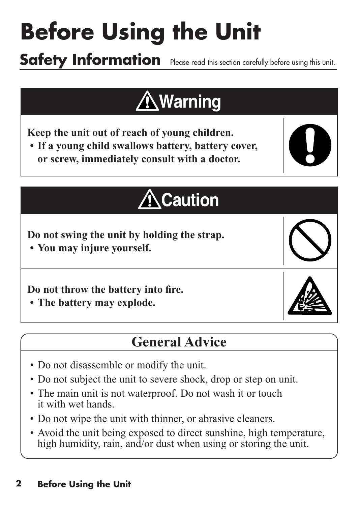# **Before Using the Unit**

**Safety Information** Please read this section carefully before using this unit.

# **Warning**

**Keep the unit out of reach of young children.** 

**• If a young child swallows battery, battery cover, or screw, immediately consult with a doctor.** 



# **Caution**

**Do not swing the unit by holding the strap.**

**• You may injure yourself.**

**Do not throw the battery into fire.** 

**• The battery may explode.**

### **General Advice**

- Do not disassemble or modify the unit.
- Do not subject the unit to severe shock, drop or step on unit.
- The main unit is not waterproof. Do not wash it or touch it with wet hands.
- Do not wipe the unit with thinner, or abrasive cleaners.
- Avoid the unit being exposed to direct sunshine, high temperature, high humidity, rain, and/or dust when using or storing the unit.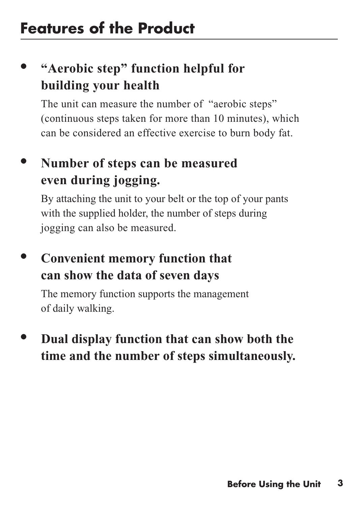### **• "Aerobic step" function helpful for building your health**

The unit can measure the number of "aerobic steps" (continuous steps taken for more than 10 minutes), which can be considered an effective exercise to burn body fat.

### **• Number of steps can be measured even during jogging.**

By attaching the unit to your belt or the top of your pants with the supplied holder, the number of steps during jogging can also be measured.

### **• Convenient memory function that can show the data of seven days**

The memory function supports the management of daily walking.

### **• Dual display function that can show both the time and the number of steps simultaneously.**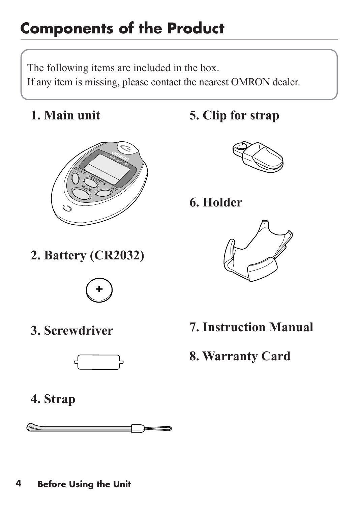### **Components of the Product**

The following items are included in the box. If any item is missing, please contact the nearest OMRON dealer.

**1. Main unit**



**2. Battery (CR2032)**



**3. Screwdriver**



**5. Clip for strap**



**6. Holder**



- **7. Instruction Manual**
- **8. Warranty Card**

**4. Strap**

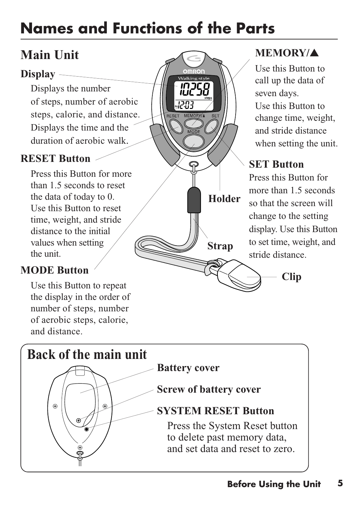### **Names and Functions of the Parts**

### **Main Unit**

#### **Display**

Displays the number of steps, number of aerobic steps, calorie, and distance. Displays the time and the duration of aerobic walk.

#### **RESET Button**

Press this Button for more than 1.5 seconds to reset the data of today to 0. Use this Button to reset time, weight, and stride distance to the initial values when setting the unit.

#### **MODE Button**

Use this Button to repeat the display in the order of number of steps, number of aerobic steps, calorie, and distance.

#### **MEMORY/**▲

Use this Button to call up the data of seven days. Use this Button to change time, weight, and stride distance when setting the unit.

#### **SET Button**

Press this Button for more than 1.5 seconds so that the screen will change to the setting display. Use this Button to set time, weight, and stride distance.

**Clip**

**Holder**

02SE

**Strap**

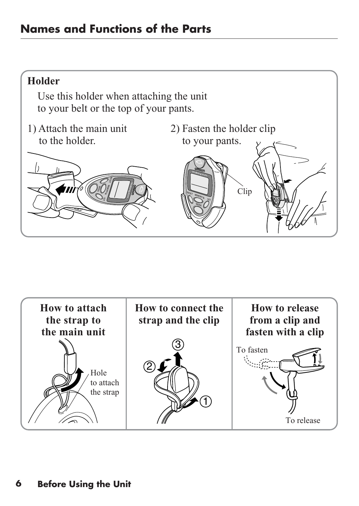#### **Holder**

Use this holder when attaching the unit to your belt or the top of your pants.

- 1) Attach the main unit to the holder.
- 2) Fasten the holder clip





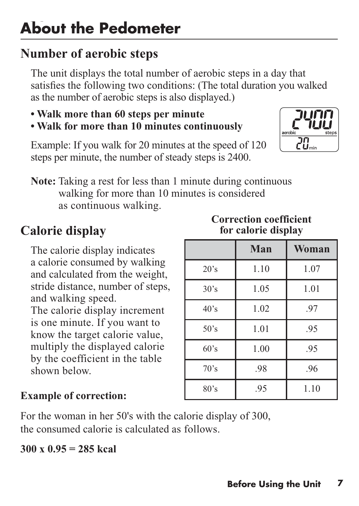### **Number of aerobic steps**

The unit displays the total number of aerobic steps in a day that satisfies the following two conditions: (The total duration you walked as the number of aerobic steps is also displayed.)

- **Walk more than 60 steps per minute**
- **Walk for more than 10 minutes continuously**

Example: If you walk for 20 minutes at the speed of 120 steps per minute, the number of steady steps is 2400.

**Note:** Taking a rest for less than 1 minute during continuous walking for more than 10 minutes is considered as continuous walking.

### **Calorie display**

The calorie display indicates a calorie consumed by walking and calculated from the weight, stride distance, number of steps, and walking speed. The calorie display increment is one minute. If you want to know the target calorie value, multiply the displayed calorie by the coefficient in the table shown below.

#### **Correction coefficient for calorie display**

|      | Man  | Woman |
|------|------|-------|
| 20's | 1.10 | 1.07  |
| 30's | 1.05 | 1.01  |
| 40's | 1.02 | .97   |
| 50's | 1.01 | .95   |
| 60's | 1.00 | .95   |
| 70's | .98  | .96   |
| 80's | .95  | 1.10  |

#### **Example of correction:**

For the woman in her 50's with the calorie display of 300, the consumed calorie is calculated as follows.

#### **300 x 0.95 = 285 kcal**

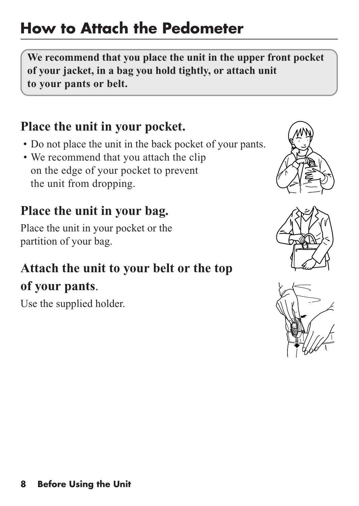### **How to Attach the Pedometer**

**We recommend that you place the unit in the upper front pocket of your jacket, in a bag you hold tightly, or attach unit to your pants or belt.** 

### **Place the unit in your pocket.**

- Do not place the unit in the back pocket of your pants.
- We recommend that you attach the clip on the edge of your pocket to prevent the unit from dropping.

### **Place the unit in your bag.**

Place the unit in your pocket or the partition of your bag.

### **Attach the unit to your belt or the top of your pants**.

Use the supplied holder.



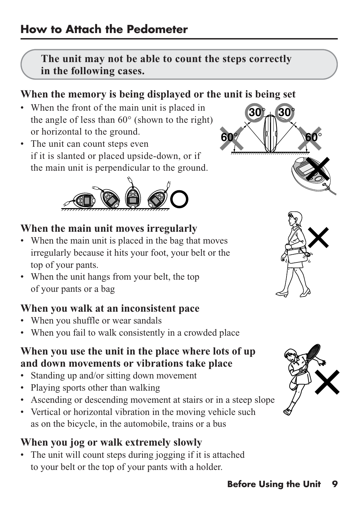#### **The unit may not be able to count the steps correctly in the following cases.**

#### **When the memory is being displayed or the unit is being set**

- When the front of the main unit is placed in the angle of less than 60° (shown to the right) or horizontal to the ground.
- The unit can count steps even if it is slanted or placed upside-down, or if the main unit is perpendicular to the ground.



#### **When the main unit moves irregularly**

- When the main unit is placed in the bag that moves irregularly because it hits your foot, your belt or the top of your pants.
- When the unit hangs from your belt, the top of your pants or a bag

#### **When you walk at an inconsistent pace**

- When you shuffle or wear sandals
- When you fail to walk consistently in a crowded place

#### **When you use the unit in the place where lots of up and down movements or vibrations take place**

- Standing up and/or sitting down movement
- Playing sports other than walking
- Ascending or descending movement at stairs or in a steep slope
- Vertical or horizontal vibration in the moving vehicle such as on the bicycle, in the automobile, trains or a bus

#### **When you jog or walk extremely slowly**

• The unit will count steps during jogging if it is attached to your belt or the top of your pants with a holder.





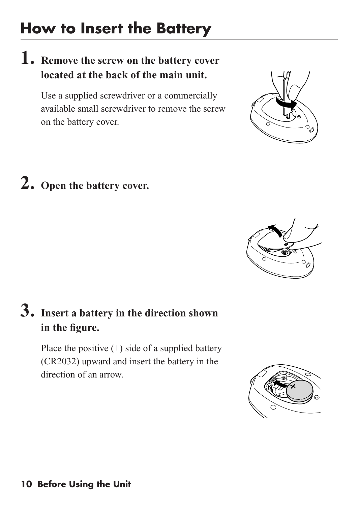### **How to Insert the Battery**

### **1. Remove the screw on the battery cover located at the back of the main unit.**

Use a supplied screwdriver or a commercially available small screwdriver to remove the screw on the battery cover.

# **2. Open the battery cover.**

### **3. Insert a battery in the direction shown in the figure.**

Place the positive  $(+)$  side of a supplied battery (CR2032) upward and insert the battery in the direction of an arrow.





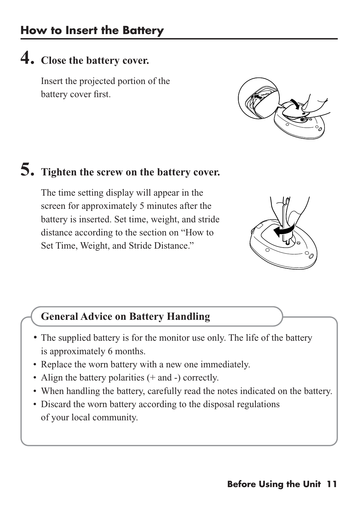### **4. Close the battery cover.**

Insert the projected portion of the battery cover first.



### **5. Tighten the screw on the battery cover.**

The time setting display will appear in the screen for approximately 5 minutes after the battery is inserted. Set time, weight, and stride distance according to the section on "How to Set Time, Weight, and Stride Distance."



#### **General Advice on Battery Handling**

- The supplied battery is for the monitor use only. The life of the battery is approximately 6 months.
- Replace the worn battery with a new one immediately.
- Align the battery polarities (+ and -) correctly.
- When handling the battery, carefully read the notes indicated on the battery.
- Discard the worn battery according to the disposal regulations of your local community.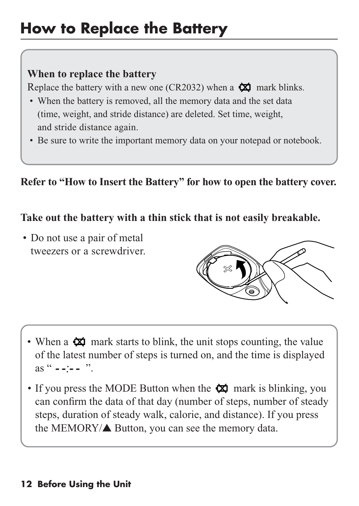### **How to Replace the Battery**

#### **When to replace the battery**

Replace the battery with a new one (CR2032) when a  $\boxtimes$  mark blinks.

- When the battery is removed, all the memory data and the set data (time, weight, and stride distance) are deleted. Set time, weight, and stride distance again.
- Be sure to write the important memory data on your notepad or notebook.

**Refer to "How to Insert the Battery" for how to open the battery cover.**

#### **Take out the battery with a thin stick that is not easily breakable.**

• Do not use a pair of metal tweezers or a screwdriver.



- When a  $\boxtimes$  mark starts to blink, the unit stops counting, the value of the latest number of steps is turned on, and the time is displayed as "  $-$  ".
- If you press the MODE Button when the  $\boxtimes$  mark is blinking, you can confirm the data of that day (number of steps, number of steady steps, duration of steady walk, calorie, and distance). If you press the MEMORY/▲ Button, you can see the memory data.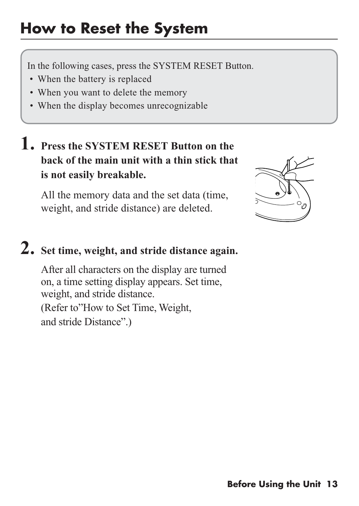### **How to Reset the System**

In the following cases, press the SYSTEM RESET Button.

- When the battery is replaced
- When you want to delete the memory
- When the display becomes unrecognizable

### **1. Press the SYSTEM RESET Button on the back of the main unit with a thin stick that is not easily breakable.**

All the memory data and the set data (time, weight, and stride distance) are deleted.



### **2. Set time, weight, and stride distance again.**

After all characters on the display are turned on, a time setting display appears. Set time, weight, and stride distance.

(Refer to"How to Set Time, Weight, and stride Distance".)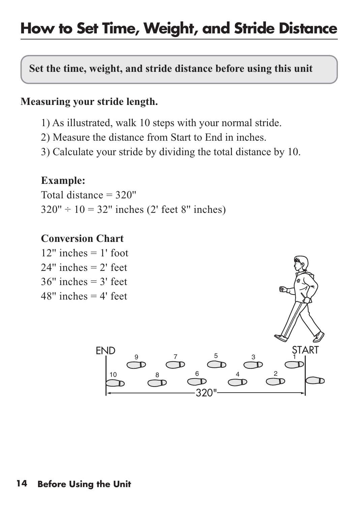### **How to Set Time, Weight, and Stride Distance**

#### **Set the time, weight, and stride distance before using this unit**

#### **Measuring your stride length.**

- 1) As illustrated, walk 10 steps with your normal stride.
- 2) Measure the distance from Start to End in inches.
- 3) Calculate your stride by dividing the total distance by 10.

#### **Example:**

Total distance = 320''  $320'' \div 10 = 32''$  inches (2' feet 8" inches)

#### **Conversion Chart**

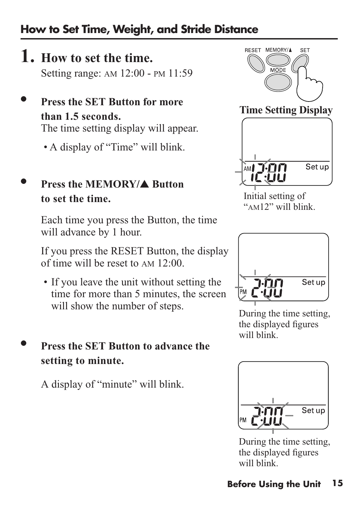#### **How to Set Time, Weight, and Stride Distance**

- **1. How to set the time.**  Setting range: AM 12:00 - PM 11:59
- **• Press the SET Button for more than 1.5 seconds.** The time setting display will appear.
	- A display of "Time" will blink.

#### **• Press the MEMORY/**▲ **Button to set the time.**

Each time you press the Button, the time will advance by 1 hour.

If you press the RESET Button, the display of time will be reset to AM 12:00.

• If you leave the unit without setting the time for more than 5 minutes, the screen will show the number of steps.

#### **• Press the SET Button to advance the setting to minute.**

A display of "minute" will blink.



**Time Setting Display**



Initial setting of "AM12" will blink.



During the time setting, the displayed figures will blink.



During the time setting, the displayed figures will blink.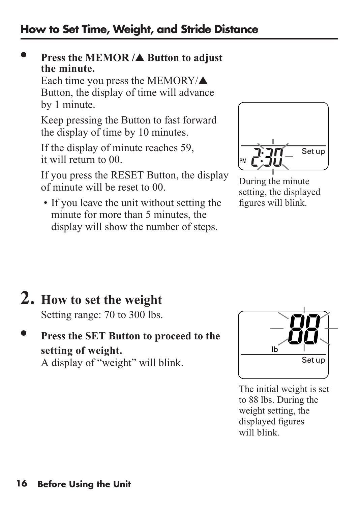#### **• Press the MEMOR /**▲ **Button to adjust the minute.**

Each time you press the MEMORY/▲ Button, the display of time will advance by 1 minute.

Keep pressing the Button to fast forward the display of time by 10 minutes.

If the display of minute reaches 59, it will return to 00.

If you press the RESET Button, the display of minute will be reset to 00.

• If you leave the unit without setting the minute for more than 5 minutes, the display will show the number of steps.



During the minute setting, the displayed figures will blink.

## **2. How to set the weight**

Setting range: 70 to 300 lbs.

#### **• Press the SET Button to proceed to the setting of weight.** A display of "weight" will blink.



The initial weight is set to 88 lbs. During the weight setting, the displayed figures will blink.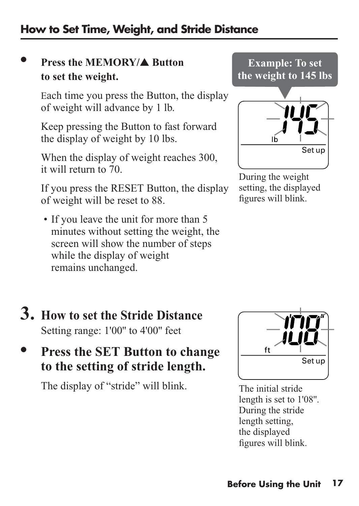#### **How to Set Time, Weight, and Stride Distance**

#### **• Press the MEMORY/**▲ **Button to set the weight.**

Each time you press the Button, the display of weight will advance by 1 lb.

Keep pressing the Button to fast forward the display of weight by 10 lbs.

When the display of weight reaches 300, it will return to 70.

If you press the RESET Button, the display of weight will be reset to 88.

• If you leave the unit for more than 5 minutes without setting the weight, the screen will show the number of steps while the display of weight remains unchanged.

### **3. How to set the Stride Distance** Setting range: 1'00'' to 4'00'' feet

### **• Press the SET Button to change to the setting of stride length.**

The display of "stride" will blink.



The initial stride length is set to 1'08''. During the stride length setting, the displayed figures will blink.



During the weight setting, the displayed figures will blink.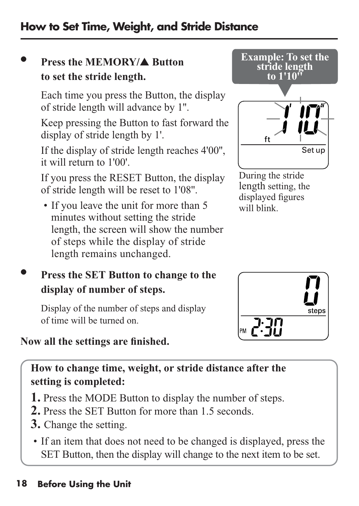**18 Before Using the Unit**

### **How to Set Time, Weight, and Stride Distance**

### **• Press the MEMORY/**▲ **Button to set the stride length.**

Each time you press the Button, the display of stride length will advance by 1''.

Keep pressing the Button to fast forward the display of stride length by 1'.

If the display of stride length reaches 4'00'', it will return to 1'00'.

If you press the RESET Button, the display of stride length will be reset to 1'08''.

• If you leave the unit for more than 5 minutes without setting the stride length, the screen will show the number of steps while the display of stride length remains unchanged.

### **• Press the SET Button to change to the display of number of steps.**

Display of the number of steps and display of time will be turned on.

### **Now all the settings are finished.**

**How to change time, weight, or stride distance after the setting is completed:** 

- **1.** Press the MODE Button to display the number of steps.
- **2.** Press the SET Button for more than 1.5 seconds.
- **3.** Change the setting.
	- If an item that does not need to be changed is displayed, press the SET Button, then the display will change to the next item to be set.



During the stride length setting, the displayed figures will blink.

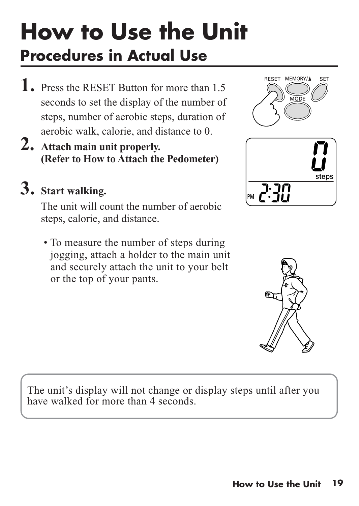# **Procedures in Actual Use How to Use the Unit**

- **1.** Press the RESET Button for more than 1.5 seconds to set the display of the number of steps, number of aerobic steps, duration of aerobic walk, calorie, and distance to 0.
- **2. Attach main unit properly. (Refer to How to Attach the Pedometer)**

### **3. Start walking.**

The unit will count the number of aerobic steps, calorie, and distance.

• To measure the number of steps during jogging, attach a holder to the main unit and securely attach the unit to your belt or the top of your pants.





The unit's display will not change or display steps until after you have walked for more than 4 seconds.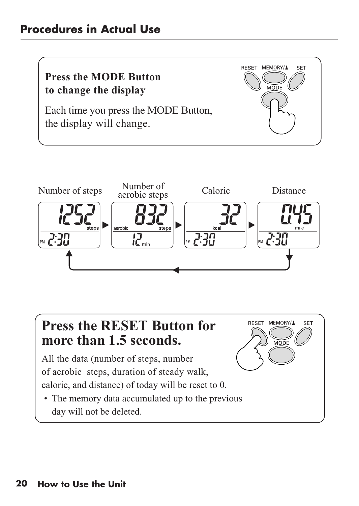#### **Procedures in Actual Use**





**RESET** 

MEMORY/A

SF<sup>-</sup>

### **Press the RESET Button for more than 1.5 seconds.**

All the data (number of steps, number of aerobic steps, duration of steady walk, calorie, and distance) of today will be reset to 0.

• The memory data accumulated up to the previous day will not be deleted.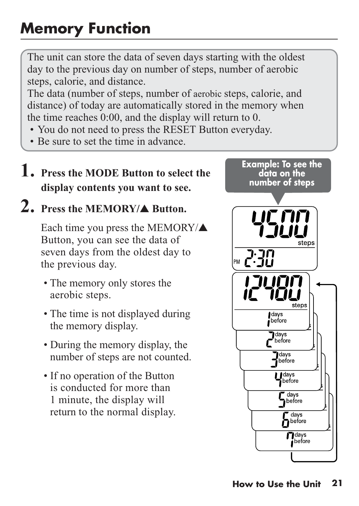#### **How to Use the Unit 21**

### **Memory Function**

The unit can store the data of seven days starting with the oldest day to the previous day on number of steps, number of aerobic steps, calorie, and distance.

The data (number of steps, number of aerobic steps, calorie, and distance) of today are automatically stored in the memory when the time reaches 0:00, and the display will return to 0.

- You do not need to press the RESET Button everyday.
- Be sure to set the time in advance.

#### **1. Press the MODE Button to select the display contents you want to see.**

### **2. Press the MEMORY/**▲ **Button.**

Each time you press the MEMORY/▲ Button, you can see the data of seven days from the oldest day to the previous day.

- The memory only stores the aerobic steps.
- The time is not displayed during the memory display.
- During the memory display, the number of steps are not counted.
- If no operation of the Button is conducted for more than 1 minute, the display will return to the normal display.

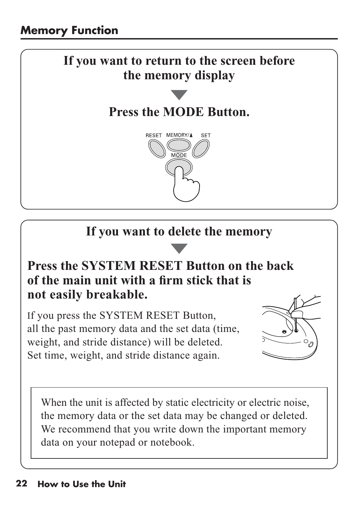

### **If you want to delete the memory**

### **Press the SYSTEM RESET Button on the back of the main unit with a firm stick that is not easily breakable.**

If you press the SYSTEM RESET Button, all the past memory data and the set data (time, weight, and stride distance) will be deleted. Set time, weight, and stride distance again.



When the unit is affected by static electricity or electric noise, the memory data or the set data may be changed or deleted. We recommend that you write down the important memory data on your notepad or notebook.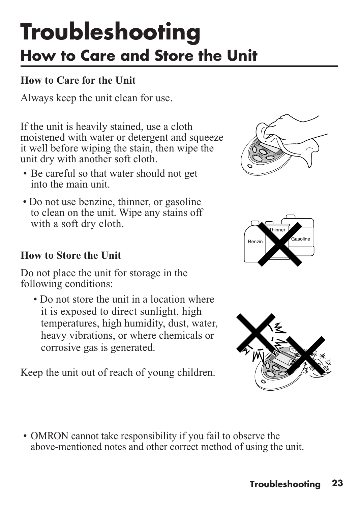## **How to Care and Store the Unit Troubleshooting**

#### **How to Care for the Unit**

Always keep the unit clean for use.

If the unit is heavily stained, use a cloth moistened with water or detergent and squeeze it well before wiping the stain, then wipe the unit dry with another soft cloth.

- Be careful so that water should not get into the main unit.
- Do not use benzine, thinner, or gasoline to clean on the unit. Wipe any stains off with a soft dry cloth.

#### **How to Store the Unit**

Do not place the unit for storage in the following conditions:

• Do not store the unit in a location where it is exposed to direct sunlight, high temperatures, high humidity, dust, water, heavy vibrations, or where chemicals or corrosive gas is generated.

Keep the unit out of reach of young children.







• OMRON cannot take responsibility if you fail to observe the above-mentioned notes and other correct method of using the unit.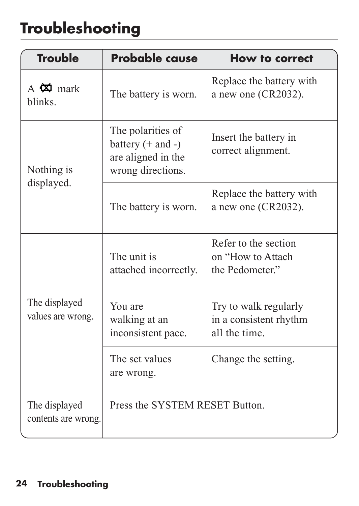### **Troubleshooting**

| <b>Trouble</b>                             | <b>Probable cause</b>                                                                 | How to correct                                                   |
|--------------------------------------------|---------------------------------------------------------------------------------------|------------------------------------------------------------------|
| A $\mathbf{\ddot{\alpha}}$ mark<br>blinks. | The battery is worn.                                                                  | Replace the battery with<br>a new one (CR2032).                  |
| Nothing is<br>displayed.                   | The polarities of<br>battery $(+$ and $-)$<br>are aligned in the<br>wrong directions. | Insert the battery in<br>correct alignment.                      |
|                                            | The battery is worn.                                                                  | Replace the battery with<br>a new one $(CR2032)$ .               |
| The displayed<br>values are wrong.         | The unit is<br>attached incorrectly.                                                  | Refer to the section<br>on "How to Attach<br>the Pedometer."     |
|                                            | You are<br>walking at an<br>inconsistent pace.                                        | Try to walk regularly<br>in a consistent rhythm<br>all the time. |
|                                            | The set values<br>are wrong.                                                          | Change the setting.                                              |
| The displayed<br>contents are wrong.       | Press the SYSTEM RESET Button.                                                        |                                                                  |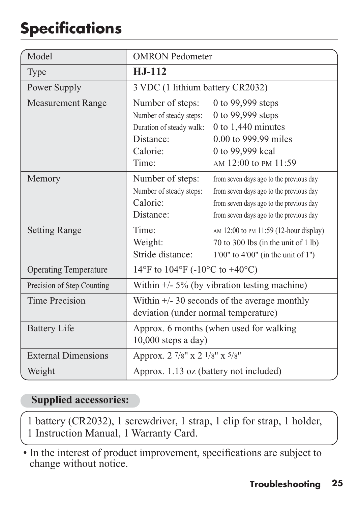### **Specifications**

| Model                        | <b>OMRON</b> Pedometer                                                                                    |                                                                                                                                                                          |
|------------------------------|-----------------------------------------------------------------------------------------------------------|--------------------------------------------------------------------------------------------------------------------------------------------------------------------------|
| Type                         | $H.J-112$                                                                                                 |                                                                                                                                                                          |
| Power Supply                 | 3 VDC (1 lithium battery CR2032)                                                                          |                                                                                                                                                                          |
| <b>Measurement Range</b>     | Number of steps:<br>Number of steady steps:<br>Duration of steady walk:<br>Distance:<br>Calorie:<br>Time: | 0 to 99,999 steps<br>0 to 99,999 steps<br>$0$ to 1,440 minutes<br>0.00 to 999.99 miles<br>0 to 99,999 kcal<br>AM 12:00 to PM 11:59                                       |
| Memory                       | Number of steps:<br>Number of steady steps:<br>Calorie:<br>Distance:                                      | from seven days ago to the previous day<br>from seven days ago to the previous day<br>from seven days ago to the previous day<br>from seven days ago to the previous day |
| <b>Setting Range</b>         | Time <sup>.</sup><br>Weight:<br>Stride distance:                                                          | AM 12:00 to PM 11:59 (12-hour display)<br>70 to 300 lbs (in the unit of 1 lb)<br>$1'00''$ to $4'00''$ (in the unit of $1'')$                                             |
| <b>Operating Temperature</b> | 14°F to 104°F (-10°C to +40°C)                                                                            |                                                                                                                                                                          |
| Precision of Step Counting   | Within $\pm$ /- 5% (by vibration testing machine)                                                         |                                                                                                                                                                          |
| Time Precision               | Within $\frac{+}{5}$ 30 seconds of the average monthly<br>deviation (under normal temperature)            |                                                                                                                                                                          |
| <b>Battery Life</b>          | Approx. 6 months (when used for walking<br>$10,000$ steps a day)                                          |                                                                                                                                                                          |
| <b>External Dimensions</b>   | Approx. 2 7/8" x 2 1/8" x 5/8"                                                                            |                                                                                                                                                                          |
| Weight                       | Approx. 1.13 oz (battery not included)                                                                    |                                                                                                                                                                          |

#### **Supplied accessories:**

1 battery (CR2032), 1 screwdriver, 1 strap, 1 clip for strap, 1 holder, 1 Instruction Manual, 1 Warranty Card.

• In the interest of product improvement, specifications are subject to change without notice.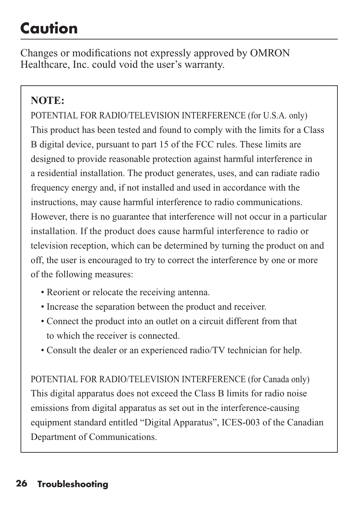### **Caution**

Changes or modifications not expressly approved by OMRON Healthcare, Inc. could void the user's warranty.

#### **NOTE:**

POTENTIAL FOR RADIO/TELEVISION INTERFERENCE (for U.S.A. only) This product has been tested and found to comply with the limits for a Class B digital device, pursuant to part 15 of the FCC rules. These limits are designed to provide reasonable protection against harmful interference in a residential installation. The product generates, uses, and can radiate radio frequency energy and, if not installed and used in accordance with the instructions, may cause harmful interference to radio communications. However, there is no guarantee that interference will not occur in a particular installation. If the product does cause harmful interference to radio or television reception, which can be determined by turning the product on and off, the user is encouraged to try to correct the interference by one or more of the following measures:

- Reorient or relocate the receiving antenna.
- Increase the separation between the product and receiver.
- Connect the product into an outlet on a circuit different from that to which the receiver is connected.
- Consult the dealer or an experienced radio/TV technician for help.

POTENTIAL FOR RADIO/TELEVISION INTERFERENCE (for Canada only) This digital apparatus does not exceed the Class B limits for radio noise emissions from digital apparatus as set out in the interference-causing equipment standard entitled "Digital Apparatus", ICES-003 of the Canadian Department of Communications.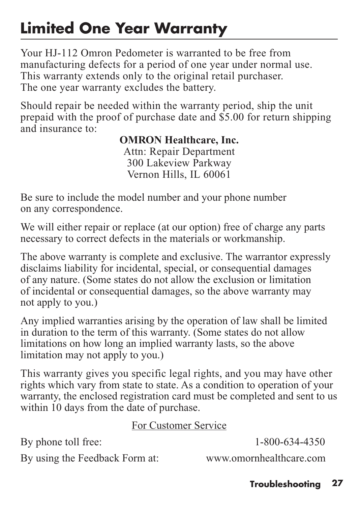### **Limited One Year Warranty**

Your HJ-112 Omron Pedometer is warranted to be free from manufacturing defects for a period of one year under normal use. This warranty extends only to the original retail purchaser. The one year warranty excludes the battery.

Should repair be needed within the warranty period, ship the unit prepaid with the proof of purchase date and \$5.00 for return shipping and insurance to:

#### **OMRON Healthcare, Inc.**

Attn: Repair Department 300 Lakeview Parkway Vernon Hills, IL 60061

Be sure to include the model number and your phone number on any correspondence.

We will either repair or replace (at our option) free of charge any parts necessary to correct defects in the materials or workmanship.

The above warranty is complete and exclusive. The warrantor expressly disclaims liability for incidental, special, or consequential damages of any nature. (Some states do not allow the exclusion or limitation of incidental or consequential damages, so the above warranty may not apply to you.)

Any implied warranties arising by the operation of law shall be limited in duration to the term of this warranty. (Some states do not allow limitations on how long an implied warranty lasts, so the above limitation may not apply to you.)

This warranty gives you specific legal rights, and you may have other rights which vary from state to state. As a condition to operation of your warranty, the enclosed registration card must be completed and sent to us within 10 days from the date of purchase.

#### For Customer Service

By phone toll free: 1-800-634-4350

By using the Feedback Form at: www.omornhealthcare.com